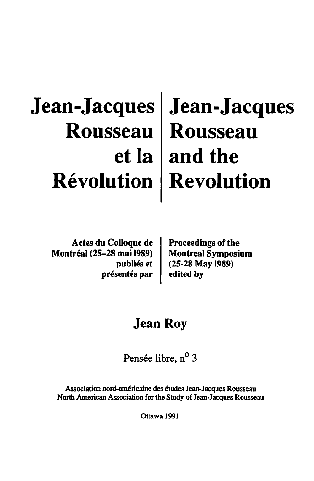# **Jean-Jacques Jean-Jacques Rousseau Rousseau etla and the Revolution Revolution**

Actes du Colloque de Montreal (25-28 mai 1989) Montreal Symposium publiés et présentés par

Proceedings of the  $(25-28$  May 1989) edited by

# Jean Roy

Pensée libre, n<sup>o</sup> 3

Association nord-américaine des études Jean-Jacques Rousseau North American Association for the Study of Jean-Jacques Rousseau

Ottawa 1991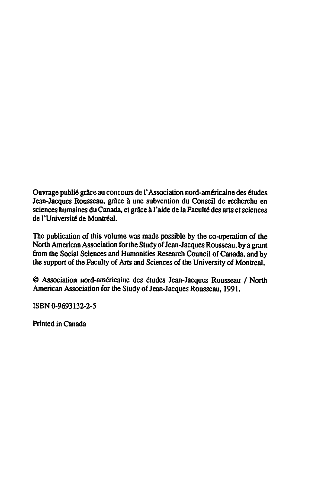Ouvrage publi6 grace au concours de I' Association nord-am6ricaine des 6tudes Jean-Jacques Rousseau, grâce à une subvention du Conseil de recherche en sciences humaines du Canada, et grâce à l'aide de la Faculté des arts et sciences de l'Université de Montréal.

The publication of this volume was made possible by the co-operation of the North American Association for the Study of Jean-Jacques Rousseau, by a grant from the Social Sciences and Humanities Research Council of Canada, and by the support of the Faculty of Arts and Sciences of the University of Montreal.

@ Association nord-am6ricaine des 6tudes Jean-Jacques Rousseau I North American Association for the Study of Jean-Jacques Rousseau, 1991.

ISBN 0-9693132-2-5

Printed in Canada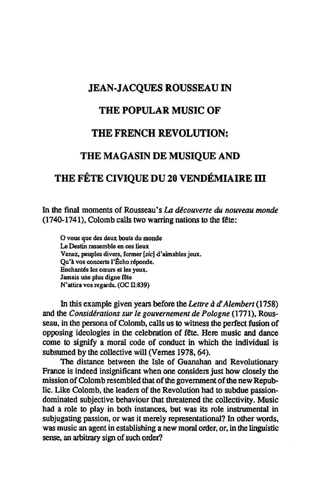### JEAN-JACQUES ROUSSEAU IN

#### THE POPULAR MUSIC OF

## THE FRENCH REVOLUTION:

#### THE MAGASIN DE MUSIQUE AND

# THE FÊTE CIVIOUE DU 20 VENDÉMIAIRE III

In the final moments of Rousseau's *IA decouverte du nouveau monde*   $(1740-1741)$ , Colomb calls two warring nations to the fête:

O vous que des deux bouts du monde Le Destin rassemble en ces lieux Venez. peuples divers, former [.sic] d'aimables jeux. Qu'à vos concerts l'Écho réponde. Enchantés les cœurs et les yeux. Jamais une plus digne fête N'attira vos regards. (OC 11:839)

In this example given years before the *Lettre* a *d' Alembert (1758)*  and the *Considerations sur Ie gouvernement de Pologne* (1771), Rousseau, in the persona of Colomb, calls us to witness the perfect fusion of opposing ideologies in the celebration of fête. Here music and dance come to signify a moral code of conduct in which the individual is subsumed by the collective will (Vernes 1978, 64).

The distance between the Isle of Guanahan and Revolutionary France is indeed insignificant when one considers just how closely the mission of Colomb resembled that of the government of the new Republic. Like Colomb, the leaders of the Revolution had to subdue passiondominated subjective behaviour that threatened the collectivity. Music had a role to play in both instances, but was its role instrumental in subjugating passion, or was it merely representational? In other words, was music an agent in establishing a new moral order, or, in the linguistic sense, an arbitrary sign of such order?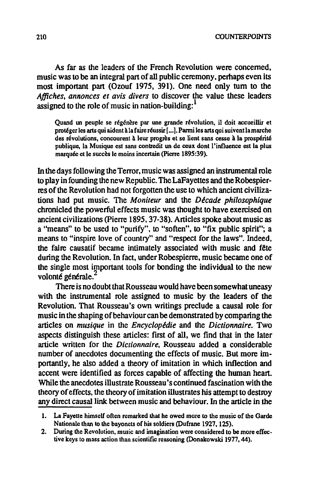As far as the leaders of the French Revolution were concerned, music was to be an integral part of all public ceremony. perhaps even its most important part (Ozouf 1975, 391). One need only tum to the *Affiches, annonces et avis divers* to discover the value these leaders assigned to the role of music in nation-building: $<sup>1</sup>$ </sup>

Quand un peuple se régénère par une grande révolution, il doit accueillir et protéger les arts qui aident à la faire réussir [...]. Parmi les arts qui suivent la marche des révolutions, concourent à leur progrès et se lient sans cesse à la prospérité publique, la Musique est sans contredit un de ceux dont l'influence est la plus marquée et le succès le moins incertain (Pierre 1895:39).

In the days following the Terror, music was assigned an instrumental role to play in founding the new Republic. The LaFayettes and the Robespierres of the Revolution had not forgotten the use to which ancient civilizations had put music. The *Moniteur* and the *Decade philosophique*  chronicled the powerful effects music was thought to have exercised on ancient civilizations (pierre 1895,37-38). Articles spoke about music as a "means" to be used to "purify", to "soften", to "fix public spirit"; a means to "inspire love of country" and "respect for the laws". Indeed, the faire causatif became intimately associated with music and fête during the Revolution. In fact, under Robespierre, music became one of the single most important tools for bonding the individual to the new volonté générale.<sup>2</sup>

There is no doubt that Rousseau would have been somewhat uneasy with the instrumental role assigned to music by the leaders of the Revolution. That Rousseau's own writings preclude a causal role for music in the shaping of behaviour can be demonstrated by comparing the articles on *musique* in the *Encyclopldie* and the *Dictionnaire.* Two aspects distinguish these articles: first of all, we find that in the later article written for the *Dictionnaire.* Rousseau added a considerable number of anecdotes documenting the effects of music. But more importantly, he also added a theory of imitation in which inflection and accent were identified as forces capable of affecting the human heart. While the anecdotes illustrate Rousseau's continued fascination with the theory of effects, the theory of imitation illustrates his attempt to destroy any direct causal link between music and behaviour. In the article in the

<sup>1.</sup> La Fayette himself often remarked that he owed more to the music of the Garde Nationale than to the bayonets of his soldiers (Dufrane 1927, 125).

<sup>2.</sup> During the Revolution, music and imagination were considered to be more effective keys to mass action than scientific reasoning (Donakowski 1977,44).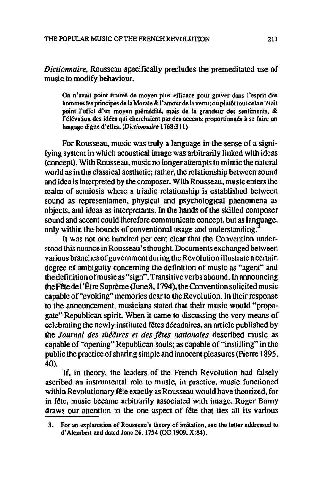*Dictionnaire.* Rousseau specifically precludes the premeditated use of music to modify behaviour.

On n'avait point trouvé de moyen plus efficace pour graver dans l'esprit des hommes les principes de la Morale & l'amour de la vertu; ou plutôt tout cela n'était point I'effet d'un moyen premedit6, mais de Ia grandeur des sentiments, & l'élévation des idées qui cherchaient par des accents proportionnés à se faire un langage digne d'elles. (Dictionnaire 1768:311)

For Rousseau, music was truly a language in the sense of a signifying system in which acoustical image was arbitrarily linked with ideas (concept). With Rousseau, music no longer attempts to mimic the natural world as in the classical aesthetic; rather, the relationship between sound and idea is interpreted by the composer. With Rousseau, music enters the realm of semiosis where a triadic relationship is established between sound as representamen. physical and psychological phenomena as objects, and ideas as interpretants. In the hands of the skilled composer sound and accent could therefore communicate concept, but as language, only within the bounds of conventional usage and understanding.

It was not one hundred per cent clear that the Convention understood this nuance in Rousseau's thought. Documents exchanged between various branches of government during the Revolution illustrate a certain degree of ambiguity concerning the definition of music as "agent" and the definition of music as "sign". Transitive verbs abound. In announcing the Fete del'Etre Supreme (June 8, 1794). the Convention solicited music capable of "evoking" memories dear to the Revolution. In their response to the announcement, musicians stated that their music would "propagate" Republican spirit. When it came to discussing the very means of celebrating the newly instituted fêtes décadaires, an article published by the *Journal des thedtres et des jeres nationales* described music as capable of "opening" Republican souls; as capable of "instilling" in the public the practice of sharing simple and innocent pleasures (Pierre 1895, 40).

If, in theory, the leaders of the French Revolution had falsely ascribed an instrumental role to music. in practice, music functioned within Revolutionary fête exactly as Rousseau would have theorized, for in fête, music became arbitrarily associated with image. Roger Barny draws our attention to the one aspect of fete that ties all its various

<sup>3.</sup> For an explanation of Rousseau's theory of imitation, see the letter addressed to d'Alembert and dated June 26.1754 (OC 1909. X:84).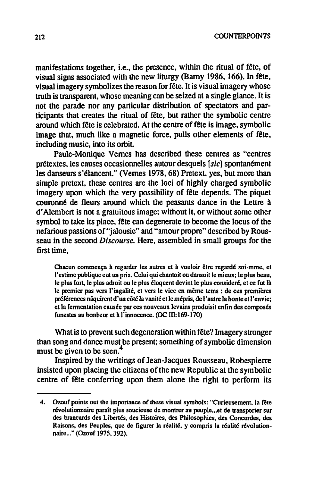212 COUNTERPOINTS

manifestations together, i.e., the presence, within the ritual of fête, of visual signs associated with the new liturgy (Barny 1986. 166). In fete. visual imagery symbolizes the reason for fete. It is visual imagery whose truth is transparent. whose meaning can be seized at a single glance. It is not the parade nor any particular distribution of spectators and participants that creates the ritual of fete. but rather the symbolic centre around which fete is celebrated. At the centre of fete is image. symbolic image that. much like a magnetic force. pulls other elements of fete, including music, into its orbit

Paule-Monique Vemes has described these centres as "centres prétextes. les causes occasionnelles autour desquels [sic] spontanément les danseurs s'élancent." (Vernes 1978, 68) Pretext, yes, but more than simple pretext, these centres are the loci of highly charged symbolic imagery upon which the very possibility of fête depends. The piquet couronné de fleurs around which the peasants dance in the Lettre à d' Alembert is not a gratuitous image; without it, or without some other symbol to take its place. fete can degenerate to become the locus of the nefarious passions of"jalousie" and "amour propre" described by Rousseau in the second *Discourse.* Here. assembled in small groups for the first time.

Chacun commença à regarder les autres et à vouloir être regardé soi-mme, et l'estime publique eut un prix. Celui qui chantoit ou dansoit le mieux; le plus beau, le plus fort, le plus adroit ou le plus éloquent devint le plus consideré, et ce fut là le premier pas vers l'ingalité, et vers le vice en même tems : de ces premières préférences nâquirent d'un côté la vanité et le mépris, de l'autre la honte et l'envie; et la fermentation causée par ces nouveaux levains produisit enfin des composés funestes au bonheur et 8 I'innocence. (DC III: 169.170)

What is to prevent such degeneration within fête? Imagery stronger than song and dance must be present; something of symbolic dimension must be given to be seen.<sup>4</sup>

Inspired by the writings of Jean-Jacques Rousseau. Robespierre insisted upon placing the citizens ofthe new Republic at the symbolic centre of fête conferring upon them alone the right to perform its

<sup>4.</sup> Ozouf points out the importance of these visual symbols: "Curieusement, la fete révolutionnaire paraît plus soucieuse de montrer au peuple... et de transporter sur des brancards des Libertés, des Histoires, des Philosophies, des Concordes, des Raisons, des Peuples, que de figurer la réalité, y compris la réalité révolutionnaire ... " (Ozouf 1975, 392).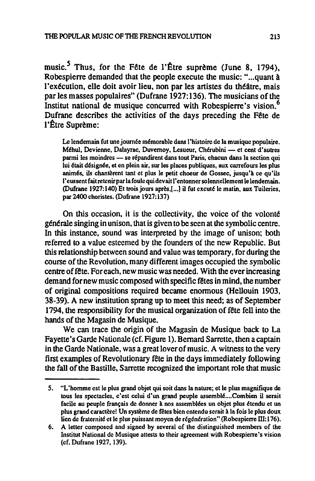music.<sup>5</sup> Thus, for the Fête de l'Être suprème (June 8, 1794), Robespierre demanded that the people execute the music: "...quant à l'exécution, elle doit avoir lieu, non par les artistes du théâtre, mais par les masses populaires" (Dufrane 1927:136). The musicians of the Institut national de musique concurred with Robespierre's vision.<sup>6</sup> Dufrane describes the activities of the days preceding the Fete de l'Être Suprème:

Le lendemain fut une journée mémorable dans l'histoire de la musique populaire. Méhul, Devienne, Dalayrac, Duvernoy, Lesueur, Chérubini — et cent d'autres parmi les moindres - se répandirent dans tout Paris, chacun dans la section qui lui était désignée, et en plein air, sur les places publiques, aux carrefours les plus animés, ils chantèrent tant et plus le petit choeur de Gossec, jusqu'à ce qu'ils l'eussentfaitretenirparlafoulequidevaitl'entonnersolennellementlelendemain. (Dufrane 1927:140) Et trois jours apres,l ... J il fut excute Ie matin, aux Tuileries, par 2400 choristes. (Dufrane 1927: 137)

On this occasion, it is the collectivity, the voice of the volonte générale singing in unison, that is given to be seen at the symbolic centre. In this instance, sound was interpreted by the image of unison; both referred to a value esteemed by the founders of the new Republic. But this relationship between sound and value was temporary, for during the course of the Revolution, many different images occupied the symbolic centre of fete. For each, new music was needed. With the ever increasing demand fornew music composed with specific fetes in mind, the number of original compositions required became enormous (Hellouin 1903, 38-39). A new institution sprang up to meet this need; as of September 1794, the responsibility for the musical organization of fete fell into the hands of the Magasin de Musique.

We can trace the origin of the Magasin de Musique back to La Fayette's Garde Nationale (cf. Figure 1). Bernard Sarrette, then a captain in the Garde Nationale. was a great lover of music. A witness to the very first examples of Revolutionary fete in the days immediately following the fall of the Bastille. Sarrette recognized the important role that music

*<sup>5.</sup>* "L'hornme est Ie plus grand objet qui soit dans la nature; et Ie plus magnifique de tous les spectacles, c'est celui d'un grand peuple assemblé....Combien il serait facile au peuple français de donner à nos assemblées un objet plus étendu et un plus grand caractère! Un système de fêtes bien entendu serait à la fois le plus doux lien de fraternité et le plus puissant moyen de régénération" (Robespierre III:176).

<sup>6.</sup> A letter composed and signed by several of the distinguished members of the Institut National de Musique attests to their agreement with Robespierre's vision (cf. Dufrane 1927, 139).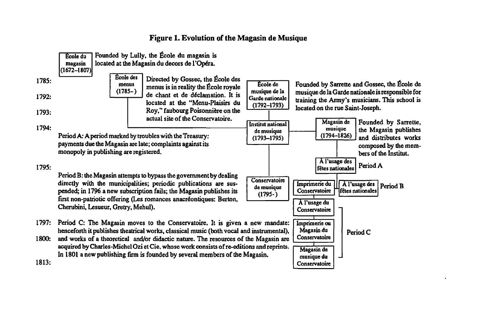#### Figure 1. Evolution of the Magasin de Musique

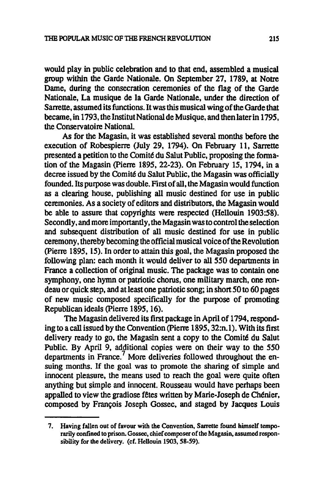would play in public celebration and to that end. assembled a musical group within the Garde Nationale. On September 27. 1789. at Notre Dame. during the consecration ceremonies of the flag of the Garde Nationale. La musique de Ia Garde Nationale. under the direction of Sarrette. assumed its functions. It was this musical wing of the Garde that became. in 1793. the Institut National de Musique. and then later in 1795. the Conservatoire National.

As for the Magasin. it was established several months before the execution of Robespierre (July 29. 1794). On February 11. Sarrette presented a petition to the Comire du Salut Public. proposing the fonnation of the Magasin (pierre 1895. 22-23). On February 15. 1794. in a decree issued by the Comité du Salut Public, the Magasin was officially founded. Its purpose was double. First of all. the Magasin would function as a clearing house. publishing all music destined for use in public ceremonies. As a society of editors and distributors. the Magasin would be able to assure that copyrights were respected (Hellouin 1903:58). Secondly. and more importantly. the Magasin was to control the selection and subsequent distribution of all music destined for use in public ceremony. thereby becoming the official musical voice of the Revolution (pierre 1895. 15). In order to attain this goal. the Magasin proposed the following plan: each month it would deliver to all 550 departments in France a collection of original music. The package was to contain one symphony, one hymn or patriotic chorus, one military march, one rondeau or quick step. and at least one patriotic song; in short 50 to 60 pages of new music composed specifically for the purpose of promoting Republican ideals (pierre 1895.16).

The Magasin delivered its first package in April of 1794. responding to a call issued by the Convention (pierre 1895. 32:n.l). With its first delivery ready to go, the Magasin sent a copy to the Comité du Salut Public. By April 9. additional copies were on their way to the 550 departments in France.<sup>7</sup> More deliveries followed throughout the ensuing months. If the goal was to promote the sharing of simple and innocent pleasure. the means used to reach the goal were quite often anything but simple and innocent. Rousseau would have perhaps been appalled to view the gradiose fetes written by Marie-Joseph de Chenier. composed by François Joseph Gossec, and staged by Jacques Louis

<sup>7.</sup> Having fallen out of favour with the Convention. Sarrette found himself temporarily confined to prison. Gossec. chief composer of the Magasin. assumed responsibility for the delivery. (cf. Hellouin 1903. 58-59).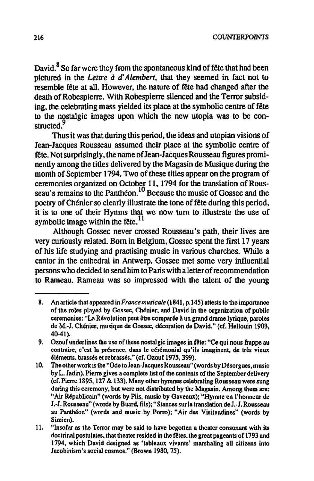David.<sup>8</sup> So far were they from the spontaneous kind of fête that had been pictured in the *Lettre* d *d' A/embert.* that they seemed in fact not to resemble fete at all. However. the nature of fete had changed after the death of Robespierre. With Robespierre silenced and the Terror subsiding. the celebrating mass yielded its place at the symbolic centre of fete to the nostalgic images upon which the new utopia was to be constructed.<sup>9</sup>

Thus it was that during this period. the ideas and utopian visions of Jean-Jacques Rousseau assumed their place at the symbolic centre of fete. Notsurprisingly. the name ofJean-JacquesRousseau figures prominently among the tiUes delivered by the Magasin de Musique during the month of September 1794. Two of these titles appear on the program of ceremonies organized on October 11, 1794 for the translation of Rousseau's remains to the Panthéon.<sup>10</sup> Because the music of Gossec and the poetry of Chénier so clearly illustrate the tone of fête during this period. it is to one of their Hymns that we now tum to illustrate the use of symbolic image within the fête.<sup>11</sup>

Although Gossec never crossed Rousseau's path. their lives are very curiously related. Born in Belgium, Gossec spent the first 17 years of his life studying and practising music in various churches. While a cantor in the cathedral in Antwerp. Gossec met some very influential persons who decided to send him to Paris with a letter of recommendation to Rameau. Rameau was so impressed with the talent of the young

<sup>8.</sup> An article that appeared in *France musicale* (1841. p.145) attests to the importance of the roles played by Gossec, Chénier, and David in the organization of public ceremonies: "La Révolution peut être comparée à un grand drame lyrique, paroles de M.-l. Chenier, musique de Gossee, decoration de David." (cf. Hellouin 1903, 40-41).

<sup>9.</sup> Ozouf underlines the use of these nostalgic images in fête: "Ce qui nous frappe au contraire, c'est la présence, dans le cérémonial qu'ils imaginent, de très vieux éléments, brassés et rebrassés." (cf. Ozouf 1975, 399).

<sup>10.</sup> The other work is the "Ode to lean-Jacques Rousseau" (words byDesorgues. m usic by L. Jadin). Pierre gives a complete list of the contents of the September delivery (cf. Pierre 1895, 127  $&$  133). Many other hymnes celebrating Rousseau were sung during this ceremony, but were not distributed by the Magasin. Among them are: "Air Republicain" (words by Piis, music by Gaveaux): "Hymne en l'honneur de J.-J. Rousseau" (words by Buard, fils); "Stances sur la translation de J.-J. Rousseau au Panthéon" (words and music by Porro); "Air des Visitandines" (words by Simien).

<sup>11. &</sup>quot;Insofar as the Terror may be said to have begotten a theater consonant with its doctrinal postulates, that theater resided in the fetes, the great pageants of 1793 and 1794, which David designed as 'tableaux vivants' marshaling all citizens into Iacobinism's social cosmos." (Brown 1980,75).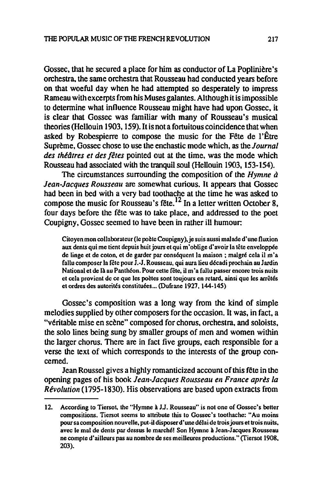Gossec, that he secured a place for him as conductor of La Poplinière's orchestra. the same orchestra that Rousseau had conducted years before on that woeful day when he had attempted so desperately to impress Rameau with excerpts from his Muses galantes. Although it is impossible to determine what influence Rousseau might have had upon Gossec. it is clear that Gossec was familiar with many of Rousseau's musical theories (Hellouin 1903. 159). It is not a fortuitous coincidence that when asked by Robespierre to compose the music for the Fête de l'Être Suprème. Gossec chose to use the enchastic mode which, as the *Journal* des théâtres et des fêtes pointed out at the time, was the mode which Rousseau had associated with the tranquil soul (Hellouin 1903, 153-154).

The circumstances surrounding the composition of the *Hymne a Jean-Jacques Rousseau* are somewhat curious. It appears that Gossec had been in bed with a very bad toothache at the time he was asked to compose the music for Rousseau's fête.<sup>12</sup> In a letter written October 8, four days before the fete was to take place. and addressed to the poet Coupigny, Gossec seemed to have been in rather ill humour:

Citoyen mon collaborateur (le poète Coupigny), je suis aussi malade d'une fluxion aux dents qui me tient depuis huit jours et qui m'oblige d'avoir la tête enveloppée de linge et de coton, et de garder par conséquent la maison ; malgré cela il m'a fallu composer la fête pour J.-J. Rousseau, qui aura lieu décadi prochain au Jardin National et de là au Panthéon. Pour cette fête, il m'a fallu passer encore trois nuits et cela provient de ce que les poètes sont toujours en retard, ainsi que les arrêtés et ordres des autorités constituées ... (Dufrane 1927, 144-145)

Gossec's composition was a long way from the kind of simple melodies supplied by other composers for the occasion. It was, in fact, a "véritable mise en scène" composed for chorus, orchestra, and soloists, the solo lines being sung by smaller groups of men and women within the larger chorus. There are in fact five groups, each responsible for a verse the text of which corresponds to the interests of the group concerned.

Jean Roussel gives a highly romanticized account of this fete in the opening pages of his book *Jean-Jacques Rousseau en France apres la Revolution* (1795-1830). His observations are based upon extracts from

<sup>12.</sup> According to Tiersot, the "Hymne a JJ. Roussenu" is not one of Gossec's better compositions. Tiersot seems to attribute this to Gosscc's toothache: "Au moins pour sa composition nouvelle, put-il disposer d'une délai de trois jours et trois nuits, avec le mal de dents par dessus le marché! Son Hymne à Jean-Jacques Rousseau ne compte d'ailleurs pas au nombre de ses meilleures productions." (Tiersot 1908, 203).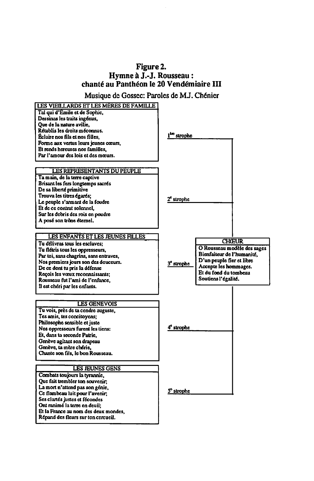#### Figure 2. Hymne à J.-J. Rousseau: chante au Pantheon Ie 20 Vendemiaire III

Musique de Gossec: Paroles de M.J. Chenier

| LES VIEILLARDS ET LES MÈRES DE FAMILLE<br>Tal qui d'Émile et de Sophie,<br>Dessinas les traits ingénus.<br>Oue de la nature avilie.<br>Rétablis les droits méconnus.<br>Éclaire nos fils et nos filles.<br>Forme aux vertus leurs jeunes cœurs,<br>Et rends hereuses nos familles.<br>Par l'amour des lois et des mœurs.          | l <sup>tro</sup> strophe |                                                                                                                                                                                 |
|-----------------------------------------------------------------------------------------------------------------------------------------------------------------------------------------------------------------------------------------------------------------------------------------------------------------------------------|--------------------------|---------------------------------------------------------------------------------------------------------------------------------------------------------------------------------|
| LES REPRESENTANTS DU PEUPLE<br>Ta main, de la terre captive<br>Brisant les fers longtemps sacrés<br>De sa liberté primitive<br>Trouva les titres égarés:<br>Le peuple s'armant de la foudre<br>Et de ce contrat solennel,<br>Sur les debris des rois en poudre<br>A posé son trône éternel.                                       | 2 <sup>e</sup> strophe   |                                                                                                                                                                                 |
| LES ENFANTS ET LES JEUNES FILLES<br>Tu délivras tous les esclaves:<br>Tu flétris tous les oppresseurs,<br>Par toi, sans chagrins, sans entraves,<br>Nos premiers jours son des douceurs.<br>De ce dont tu pris la défense<br>Recois les vœux reconnaissants;<br>Rousseau fut l'ami de l'enfance.<br>Il est chéri par les enfants. | 3 <sup>°</sup> strophe   | <b>CHŒUR</b><br>O Rousseau modèle des sages<br>Bienfaiteur de l'humanité,<br>D'un peuple fier et libre<br>Accepte les hommages.<br>Et du fond du tombeau<br>Soutiens l'égalité. |
| <b>LES GENEVOIS</b><br>Tu vois, près de ta cendre auguste,<br>Tes amis, tes concitoyens;<br>Philosophe sensible et juste<br>Nos oppresseurs furent les tiens:<br>Et, dans ta seconde Patrie.<br>Genève agitant son drapeau<br>Genève, ta mère chérie.<br>Chante son fils, le bon Rousseau.                                        | 4 <sup>e</sup> strophe   |                                                                                                                                                                                 |
| <b>LES JEUNES GENS</b><br>Combats toujours la tyrannie,<br>Que fait trembler ton souvenir;<br>La mort n'attend pas son génie,<br>Ce flambeau luit pour l'avenir;<br>Ses clariés justes et fécondes<br>Ont ranimé la terre en deuil:<br>Et la France au nom des deux mondes,<br>Répand des fleurs sur ton cercueil.                | S° strophe               |                                                                                                                                                                                 |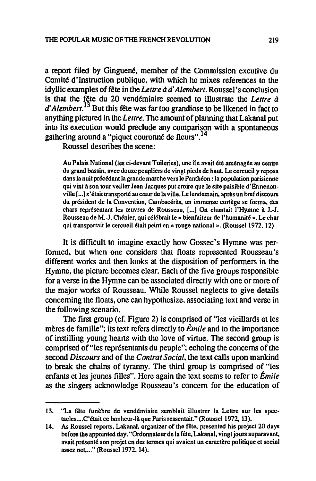a report filed by Ginguené, member of the Commission excutive du Comité d'Instruction publique, with which he mixes references to the idyllic examples of fete in the *Lettre* d *d' Alembert.* Roussel's conclusion is that the fête du 20 vendémiaire seemed to illustrate the *Lettre à* d' *Alembert.13* But this fete was far too grandiose to be likened in fact to anything pictured in the *Lettre.* The amount of planning that Lakanal put into its execution would preclude any comparison with a spontaneous gathering around a "piquet couronné de fleurs". $^{14}$ 

Roussel describes the scene:

Au Palais National (les ci-devant Tuileries), une ile avait ete amenagee au centre du grand bassin, avec douze peupliers de vingt pieds de haut. Le cercueil y reposa dans la nuit précédant la grande marche vers le Panthéon : la population parisienne qui vint a son tour veiller Iean-Iacques put croire que Ie site paisible d'Ermenonville [...] s'était transporté au cœur de la ville. Le lendemain, après un bref discours du président de la Convention, Cambacérès, un immense cortège se forma, des chars représentant les œuvres de Rousseau, [...] On chantait l'Hymne à J.-J. Rousseau de M.-J. Chénier, qui célébrait le « bienfaiteur de l'humanité ». Le char qui transportait Ie cercueil etail peint en «rouge national ». (Roussel 1972, 12)

It is difficult to imagine exactly how Gossec's Hymne was performed, but when one considers that floats represented Rousseau's different works and then looks at the disposition of performers in the Hymne. the picture becomes clear. Each of the five groups responsible for a verse in the Hymne can be associated directly with one or more of the major works of Rousseau. While Roussel neglects to give details concerning the floats, one can hypothesize. associating text and verse in the following scenario.

The first group (cf. Figure 2) is comprised of "les vieillards et les mères de famille"; its text refers directly to  $\hat{E}$ *mile* and to the importance of instilling young hearts with the love of virtue. The second group is comprised of"les representants du peuple"; echoing the concerns of the second *Discours* and of the *Contrat Social*, the text calls upon mankind to break the chains of tyranny. The third group is comprised of "les enfants et les jeunes fiUes". Here again the text seems to refer to *Emile*  as the singers acknowledge Rousseau's concern for the education of

<sup>13. &</sup>quot;La fête funèbre de vendémiaire semblait illustrer la Lettre sur les spectacles.... C'était ce bonheur-là que Paris ressentait." (Roussel 1972, 13).

<sup>14.</sup> As Roussel reports, Lakanal, organizer of the fête, presented his project 20 days before the appointed day. "Ordonnateur de la fête, Lakanal, vingt jours auparavant, avait présenté son projet en des termes qui avaient un caractère politique et social assez net...." (Roussel 1972, 14).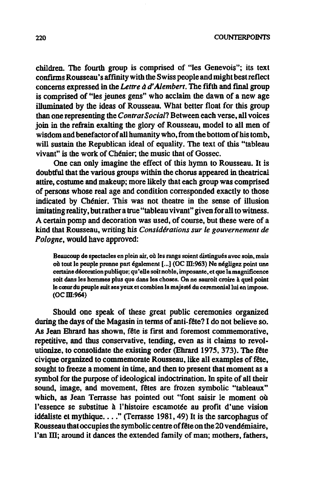children. The fourth group is comprised of "les Genevois"; its text confirms Rousseau's affinity with the Swiss people and might best reflect concerns expressed in the *Lettre à d'Alembert*. The fifth and final group is comprised of "les jeunes gens" who acclaim the dawn of a new age illuminated by the ideas of Rousseau. What better float for this group than one representing the *Contrat Social?* Between each verse, all voices join in the refrain exalting the glory of Rousseau, model to all men of wisdom and benefactor of all humanity who, from the bottom of his tomb, will sustain the Republican ideal of equality. The text of this "tableau vivant" is the work of Chenier; the music that of Gossec.

One can only imagine the effect of this hymn to Rousseau. It is doubtful that the various groups within the chorus appeared in theatrical attire, costume and makeup; more likely that each group was comprised of persons whose real age and condition corresponded exactly to those indicated by Ch6nier. This was not theatre in the sense of illusion imitating reality, but rather a true "tableau vivant" given for all to witness. A certain pomp and decoration was used, of course, but these were of a kind that Rousseau, writing his *Considerations sur Ie gouvernement de*  Pologne, would have approved:

Beaucoup de spectacles en plein air, où les rangs soient distingués avec soin, mais où tout le peuple prenne part également [...] (OC III:963) Ne négligez point une certaine decoration publique; qu 'eUe soit noble, imposante. el que lamagnificence soit dans les hommes plus que dans les choses. On ne sauroit croire à quel point Ie coeur du peuple suit ses yeux et combien la majeste du cezemonia1lui en impose. (OCill:964)

Should one speak of these great public ceremonies organized during the days of the Magasin in terms of anti-fête? I do not believe so. As Jean Ehrard has shown, fete is first and foremost commemorative, repetitive, and thus conservative, tending, even as it claims to revolutionize. to consolidate the existing order (Ehrard 1975,373). The fete civique organized to commemorate Rousseau, like all examples of fete, sought to freeze a moment in time, and then to present that moment as a symbol for the purpose of ideological indoctrination. In spite of all their sound, image, and movement. fetes are frozen symbolic "tableaux" which, as Jean Terrasse has pointed out "font saisir Ie moment ou l'essence se substitue à l'histoire escamotée au profit d'une vision idéaliste et mythique...." (Terrasse 1981, 49) It is the sarcophagus of Rousseau that occupies the symbolic centre of fête on the 20 vendémiaire, l'an III; around it dances the extended family of man; mothers, fathers,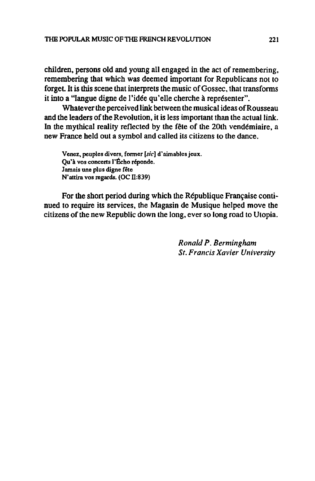children, persons old and young all engaged in the act of remembering, remembering that which was deemed important for Republicans not to forget. It is this scene that interprets the music of Gossec, that transforms it into a "langue digne de l'idée qu'elle cherche à représenter".

Whatever the perceived link between the musical ideas of Rousseau and the leaders of the Revolution, it is less important than the actual link. In the mythical reality reflected by the fête of the 20th vendémiaire, a new France held out a symbol and called its citizens to the dance.

Venez, peuples divers, former [sic] d'aimables jeux. Qu'à vos concerts l'Écho réponde. Jamais une plus digne fête N'attira vos regards. (OC II:839)

For the short period during which the République Française continued to require its services, the Magasin de Musique helped move the citizens of the new Republic down the long, ever so long road to Utopia.

> *Ronald P. Bermingham Sf. Francis Xavier University*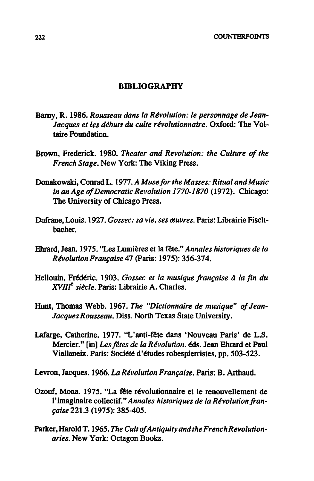#### **BmLIOGRAPHY**

- Barny, R. 1986. Rousseau dans la Révolution: le personnage de Jean-*Jacques et les dtbuts du culte revolutionnaire.* Oxford: The Voltaire Foundation.
- Brown, Frederick. 1980. *Theater and Revolution: the Culture of the French Stage.* New York: The Viking Press.
- Donakowski, Conrad L. 1977. *A Muse for the Masses: Ritual and Music in an Age o/Democratic Revolution 1770-1870* (1972). Chicago: The University of Chicago Press.
- Dufrane, Louis. 1927. *Gossec: sa vie. ses œuvres*. Paris: Librairie Fischbacher.
- Ehrard, Jean. 1975. "Les Lumières et la fête." *Annales historiques de la Revolution Fran,aise* 47 (paris: 1975): 356-374.
- Hellouin, Frédéric. 1903. *Gossec et la musique française à la fin du XVIII<sup>e</sup> siècle*. Paris: Librairie A. Charles.
- Hunt, Thomas Webb. 1967. The "Dictionnaire de musique" of Jean-*Jacques Rousseau.* Diss. North Texas State University.
- Lafarge, Catherine. 1977. "L'anti-fête dans 'Nouveau Paris' de L.S. Mercier." [in] *Les fêtes de la Révolution*. *éds.* Jean Ehrard et Paul Viallaneix. Paris: Société d'études robespierristes, pp. 503-523.
- Levron, Jacques. 1966. *La Révolution Française*. Paris: B. Arthaud.
- Ozouf, Mona. 1975. "La fête révolutionnaire et le renouvellement de l'imaginaire collectif." *Annales historiques de la Revolution fran- ,aise* 221.3 (1975): 385-405.
- Parker, Harold T. 1965. *The Cult of Antiquity and the French Revolutionaries.* New York: Octagon Books.